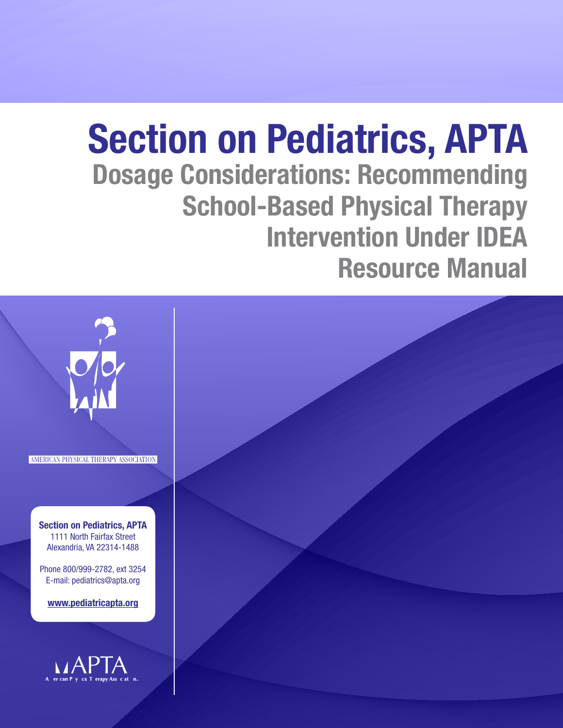# Section on Pediatrics, APTA Dosage Considerations: Recommending School-Based Physical Therapy Intervention Under IDEA Resource Manual

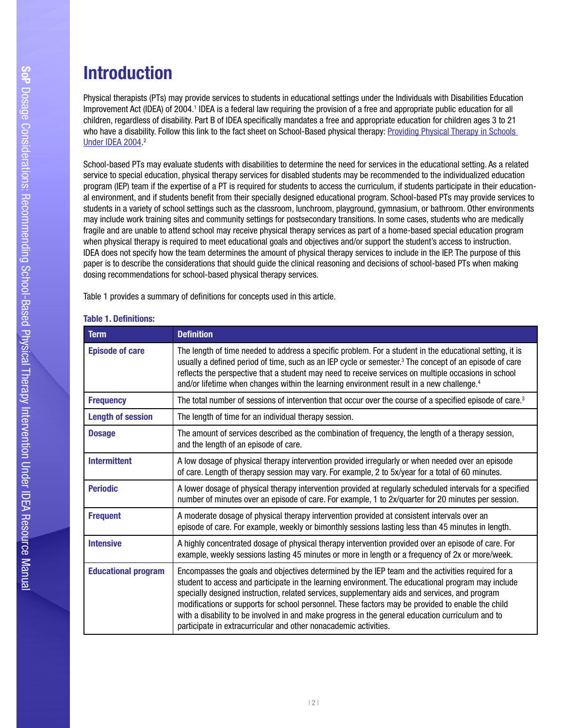## Recommending School-**Introduction**

Physical therapists (PTs) may provide services to students in educational settings under the Individuals with Disabilities Education Improvement Act (IDEA) of 2004.<sup>1</sup> IDEA is a federal law requiring the provision of a free and appropriate public education for all children, regardless of disability. Part B of IDEA specifcally mandates a free and appropriate education for children ages 3 to 21 who have a disability. Follow this link to the fact sheet on School-Based physical therapy: [Providing Physical Therapy in Schools](http://www.pediatricapta.org/consumer-patient-information/pdfs/09 IDEA Schools.pdf)  [Under IDEA 2004.](http://www.pediatricapta.org/consumer-patient-information/pdfs/09 IDEA Schools.pdf) 2

School-based PTs may evaluate students with disabilities to determine the need for services in the educational setting. As a related service to special education, physical therapy services for disabled students may be recommended to the individualized education program (IEP) team if the expertise of a PT is required for students to access the curriculum, if students participate in their educational environment, and if students benefit from their specially designed educational program. School-based PTs may provide services to students in a variety of school settings such as the classroom, lunchroom, playground, gymnasium, or bathroom. Other environments may include work training sites and community settings for postsecondary transitions. In some cases, students who are medically fragile and are unable to attend school may receive physical therapy services as part of a home-based special education program when physical therapy is required to meet educational goals and objectives and/or support the student's access to instruction. IDEA does not specify how the team determines the amount of physical therapy services to include in the IEP. The purpose of this paper is to describe the considerations that should guide the clinical reasoning and decisions of school-based PTs when making dosing recommendations for school-based physical therapy services.

Table 1 provides a summary of defnitions for concepts used in this article.

| Term                       | <b>Definition</b>                                                                                                                                                                                                                                                                                                                                                                                                                                                                                                                                                                      |
|----------------------------|----------------------------------------------------------------------------------------------------------------------------------------------------------------------------------------------------------------------------------------------------------------------------------------------------------------------------------------------------------------------------------------------------------------------------------------------------------------------------------------------------------------------------------------------------------------------------------------|
| <b>Episode of care</b>     | The length of time needed to address a specific problem. For a student in the educational setting, it is<br>usually a defined period of time, such as an IEP cycle or semester. <sup>3</sup> The concept of an episode of care<br>reflects the perspective that a student may need to receive services on multiple occasions in school<br>and/or lifetime when changes within the learning environment result in a new challenge. <sup>4</sup>                                                                                                                                         |
| <b>Frequency</b>           | The total number of sessions of intervention that occur over the course of a specified episode of care. <sup>3</sup>                                                                                                                                                                                                                                                                                                                                                                                                                                                                   |
| <b>Length of session</b>   | The length of time for an individual therapy session.                                                                                                                                                                                                                                                                                                                                                                                                                                                                                                                                  |
| <b>Dosage</b>              | The amount of services described as the combination of frequency, the length of a therapy session,<br>and the length of an episode of care.                                                                                                                                                                                                                                                                                                                                                                                                                                            |
| <b>Intermittent</b>        | A low dosage of physical therapy intervention provided irregularly or when needed over an episode<br>of care. Length of therapy session may vary. For example, 2 to 5x/year for a total of 60 minutes.                                                                                                                                                                                                                                                                                                                                                                                 |
| <b>Periodic</b>            | A lower dosage of physical therapy intervention provided at regularly scheduled intervals for a specified<br>number of minutes over an episode of care. For example, 1 to 2x/quarter for 20 minutes per session.                                                                                                                                                                                                                                                                                                                                                                       |
| <b>Frequent</b>            | A moderate dosage of physical therapy intervention provided at consistent intervals over an<br>episode of care. For example, weekly or bimonthly sessions lasting less than 45 minutes in length.                                                                                                                                                                                                                                                                                                                                                                                      |
| <b>Intensive</b>           | A highly concentrated dosage of physical therapy intervention provided over an episode of care. For<br>example, weekly sessions lasting 45 minutes or more in length or a frequency of 2x or more/week.                                                                                                                                                                                                                                                                                                                                                                                |
| <b>Educational program</b> | Encompasses the goals and objectives determined by the IEP team and the activities required for a<br>student to access and participate in the learning environment. The educational program may include<br>specially designed instruction, related services, supplementary aids and services, and program<br>modifications or supports for school personnel. These factors may be provided to enable the child<br>with a disability to be involved in and make progress in the general education curriculum and to<br>participate in extracurricular and other nonacademic activities. |

## **Table 1. Definitions:**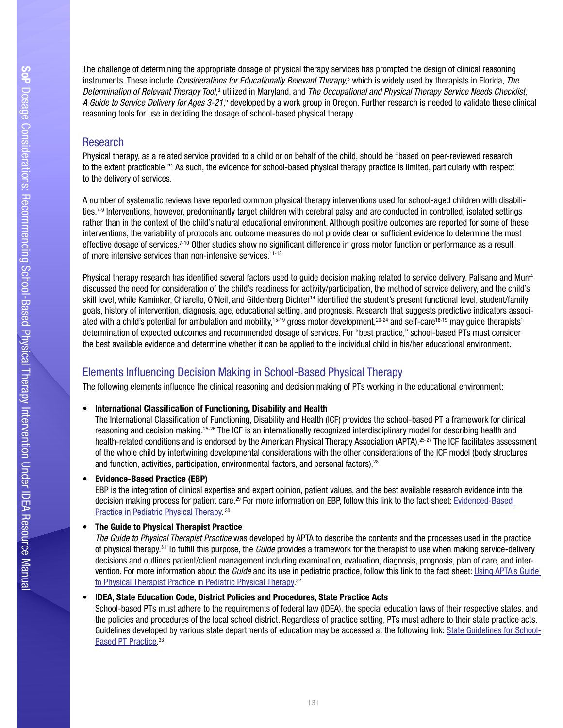The challenge of determining the appropriate dosage of physical therapy services has prompted the design of clinical reasoning Instruments. These include *Considerations for Educationally Relevant Therapy*,<sup>5</sup> which is widely used by therapists in Florida[,](http://www.fldoe.org/ese/pdf/cert-script.pdf) *The* instruments. These include *Considerations for Educationally Relevant Therapy*,<sup>5</sup> whi Determination of Relevant Therapy Tool,<sup>3</sup> utilized in Maryland, and The Occupational and Physical Therapy Service Needs Checklist, *A Guide to Service Delivery for Ages 3-21,*6 developed by a work group in Oregon. Further research is needed to validate these clinical reasoning tools for use in deciding the dosage of school-based physical therapy.

## **Research**

Physical therapy, as a related service provided to a child or on behalf of the child, should be "based on peer-reviewed research to the extent practicable."1 As such, the evidence for school-based physical therapy practice is limited, particularly with respect to the delivery of services.

A number of systematic reviews have reported common physical therapy interventions used for school-aged children with disabilities.<sup>7-9</sup> Interventions, however, predominantly target children with cerebral palsy and are conducted in controlled, isolated settings rather than in the context of the child's natural educational environment. Although positive outcomes are reported for some of these interventions, the variability of protocols and outcome measures do not provide clear or sufficient evidence to determine the most effective dosage of services.<sup>7-10</sup> Other studies show no significant difference in gross motor function or performance as a result of more intensive services than non-intensive services.<sup>11-13</sup>

Physical therapy research has identified several factors used to quide decision making related to service delivery. Palisano and Murr<sup>4</sup> discussed the need for consideration of the child's readiness for activity/participation, the method of service delivery, and the child's skill level, while Kaminker, Chiarello, O'Neil, and Gildenberg Dichter<sup>14</sup> identified the student's present functional level, student/family goals, history of intervention, diagnosis, age, educational setting, and prognosis. Research that suggests predictive indicators associated with a child's potential for ambulation and mobility,<sup>15-19</sup> gross motor development,<sup>20-24</sup> and self-care<sup>18-19</sup> may quide therapists' determination of expected outcomes and recommended dosage of services. For "best practice," school-based PTs must consider the best available evidence and determine whether it can be applied to the individual child in his/her educational environment.

## Elements Infuencing Decision Making in School-Based Physical Therapy

The following elements infuence the clinical reasoning and decision making of PTs working in the educational environment:

## • International Classifcation of Functioning, Disability and Health

The International Classifcation of Functioning, Disability and Health (ICF) provides the school-based PT a framework for clinical reasoning and decision making.25-26 The ICF is an internationally recognized interdisciplinary model for describing health and health-related conditions and is endorsed by the American Physical Therapy Association (APTA).25-27 The ICF facilitates assessment of the whole child by intertwining developmental considerations with the other considerations of the ICF model (body structures and function, activities, participation, environmental factors, and personal factors).<sup>28</sup>

## • Evidence-Based Practice (EBP)

EBP is the integration of clinical expertise and expert opinion, patient values, and the best available research evidence into the decision making process for patient care.29 For more information on EBP, follow this link to the fact sheet: [Evidenced-Based](http://www.pediatricapta.org/consumer-patient-information/pdfs/Evidence-based Practice Fact Sheet.pdf)  [Practice in Pediatric Physical Therapy](http://www.pediatricapta.org/consumer-patient-information/pdfs/Evidence-based Practice Fact Sheet.pdf).<sup>30</sup>

## • The Guide to Physical Therapist Practice

*The Guide to Physical Therapist Practice* was developed by APTA to describe the contents and the processes used in the practice of physical therapy.31 To fulfll this purpose, the *Guide* provides a framework for the therapist to use when making service-delivery decisions and outlines patient/client management including examination, evaluation, diagnosis, prognosis, plan of care, and intervention. For more information about the *Guide* and its use in pediatric practice, follow this link to the fact sheet: [Using APTA's Guide](https://www.pediatricapta.org/consumer-patient-information/pdfs/Guide Fact Sheet.pdf)  [to Physical Therapist Practice in Pediatric Physical Therapy.](https://www.pediatricapta.org/consumer-patient-information/pdfs/Guide Fact Sheet.pdf) 32

## • IDEA, State Education Code, District Policies and Procedures, State Practice Acts

School-based PTs must adhere to the requirements of federal law (IDEA), the special education laws of their respective states, and the policies and procedures of the local school district. Regardless of practice setting, PTs must adhere to their state practice acts. Guidelines developed by various state departments of education may be accessed at the following link: [State Guidelines for School-](http://www.pediatricapta.org/special-interest-groups/school-based-therapy/index.cfm)[Based PT Practice](http://www.pediatricapta.org/special-interest-groups/school-based-therapy/index.cfm).<sup>33</sup>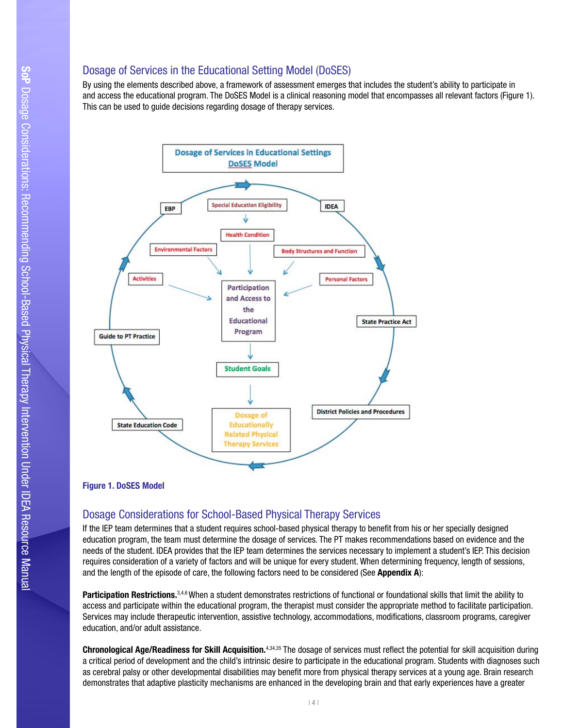## Dosage of Services in the Educational Setting Model (DoSES)

Bosage of Services in the Eddedhondi Setting woder (BooEo)<br>By using the elements described above, a framework of assessment emerges that includes the student's ability to participate in By dairy are comone decomped above, a namework or accessment emerges that molded the educative denity to participate in<br>and access the educational program. The DoSES Model is a clinical reasoning model that encompasses all This can be used to guide decisions regarding dosage of therapy services.



## Figure 1. DoSES Model

## Dosage Considerations for School-Based Physical Therapy Services

requires consideration of a variety of factors and will be unique for every student. When determining frequency, length of sessions,<br>and the length of the episode of care, the following factors need to be considered (See If the IEP team determines that a student requires school-based physical therapy to beneft from his or her specially designed education program, the team must determine the dosage of services. The PT makes recommendations based on evidence and the needs of the student. IDEA provides that the IEP team determines the services necessary to implement a student's IEP. This decision

Participation Restrictions.<sup>3,4,6</sup> When a student demonstrates restrictions of functional or foundational skills that limit the ability to access and participate within the educational program, the therapist must consider the appropriate method to facilitate participation. Services may include therapeutic intervention, assistive technology, accommodations, modifcations, classroom programs, caregiver education, and/or adult assistance.

Chronological Age/Readiness for Skill Acquisition.<sup>4,34,35</sup> The dosage of services must reflect the potential for skill acquisition during a critical period of development and the child's intrinsic desire to participate in the educational program. Students with diagnoses such as cerebral palsy or other developmental disabilities may beneft more from physical therapy services at a young age. Brain research demonstrates that adaptive plasticity mechanisms are enhanced in the developing brain and that early experiences have a greater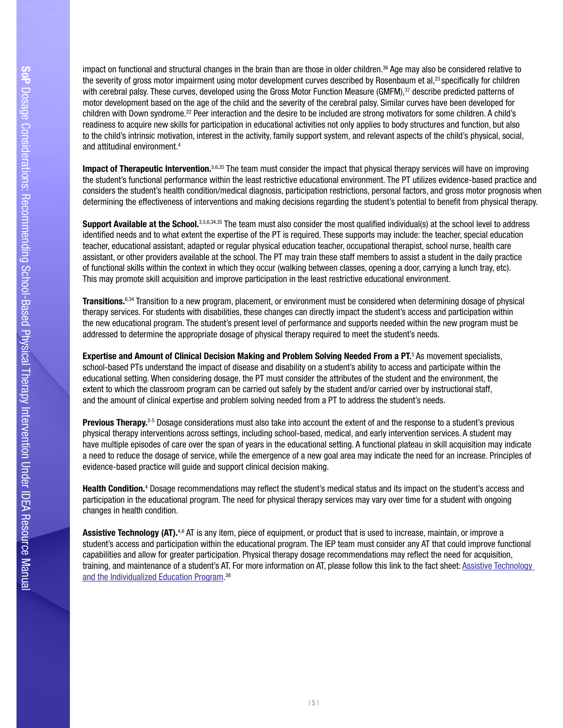impact on functional and structural changes in the brain than are those in older children.<sup>36</sup> Age may also be considered relative to the severity of gross motor impairment using motor development curves described by Rosenbaum et al,<sup>23</sup> specifically for children with cerebral palsy. These curves, developed using the Gross Motor Function Measure (GMFM),<sup>37</sup> describe predicted patterns of to the child's intrinsic motivation, interest in the activity, family support system, and relevant aspects of the child's physical, social,<br>and attitudinal environment.<sup>4</sup> motor development based on the age of the child and the severity of the cerebral palsy. Similar curves have been developed for children with Down syndrome.22 Peer interaction and the desire to be included are strong motivators for some children. A child's readiness to acquire new skills for participation in educational activities not only applies to body structures and function, but also

Impact of Therapeutic Intervention.<sup>5,6,35</sup> The team must consider the impact that physical therapy services will have on improving the student's functional performance within the least restrictive educational environment. The PT utilizes evidence-based practice and considers the student's health condition/medical diagnosis, participation restrictions, personal factors, and gross motor prognosis when determining the effectiveness of interventions and making decisions regarding the student's potential to beneft from physical therapy.

of functional skills within the context in which they occur (walking between classes, opening a door, carrying a lunch tray, etc).<br>This may promote skill acquisition and improve participation in the least restrictive educa Support Available at the School. 3,5,6,34,35 The team must also consider the most qualified individual(s) at the school level to address identifed needs and to what extent the expertise of the PT is required. These supports may include: the teacher, special education teacher, educational assistant, adapted or regular physical education teacher, occupational therapist, school nurse, health care assistant, or other providers available at the school. The PT may train these staff members to assist a student in the daily practice

Transitions.<sup>6,34</sup> Transition to a new program, placement, or environment must be considered when determining dosage of physical therapy services. For students with disabilities, these changes can directly impact the student's access and participation within the new educational program. The student's present level of performance and supports needed within the new program must be addressed to determine the appropriate dosage of physical therapy required to meet the student's needs.

Expertise and Amount of Clinical Decision Making and Problem Solving Needed From a PT.<sup>5</sup> As movement specialists, extent to which the classroom program can be carried out safely by the student and/or carried over by instructional staff,<br>and the amount of clinical expertise and problem solving needed from a PT to address the student's school-based PTs understand the impact of disease and disability on a student's ability to access and participate within the educational setting. When considering dosage, the PT must consider the attributes of the student and the environment, the

Previous Therapy.<sup>3-5</sup> Dosage considerations must also take into account the extent of and the response to a student's previous physical therapy interventions across settings, including school-based, medical, and early intervention services. A student may have multiple episodes of care over the span of years in the educational setting. A functional plateau in skill acquisition may indicate a need to reduce the dosage of service, while the emergence of a new goal area may indicate the need for an increase. Principles of evidence-based practice will guide and support clinical decision making.

Health Condition.<sup>4</sup> Dosage recommendations may reflect the student's medical status and its impact on the student's access and participation in the educational program. The need for physical therapy services may vary over time for a student with ongoing changes in health condition.

Assistive Technology (AT).<sup>4,6</sup> AT is any item, piece of equipment, or product that is used to increase, maintain, or improve a student's access and participation within the educational program. The IEP team must consider any AT that could improve functional capabilities and allow for greater participation. Physical therapy dosage recommendations may refect the need for acquisition, training, and maintenance of a student's AT. For more information on AT, please follow this link to the fact sheet: Assistive Technology [and the Individualized Education Program.](http://www.pediatricapta.org/consumer-patient-information/pdfs/AssistiveTechnology.pdf) 38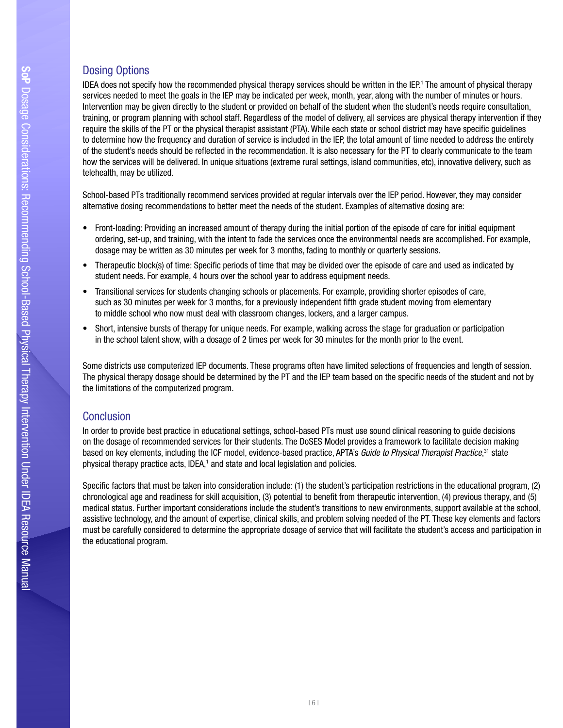## **Dosing Options**

Boomg Options<br>IDEA does not specify how the recommended physical therapy services should be written in the IEP.<sup>1</sup> The amount of physical therapy BER dood not oponly now are recommended physical disrupy corricol sheald be whiten in the ER. The amount or physical disrue<br>Services needed to meet the goals in the IEP may be indicated per week, month, year, along with th Intervention may be given directly to the student or provided on behalf of the student when the student's needs require consultation, training, or program planning with school staff. Regardless of the model of delivery, all services are physical therapy intervention if they require the skills of the PT or the physical therapist assistant (PTA). While each state or school district may have specifc guidelines to determine how the frequency and duration of service is included in the IEP, the total amount of time needed to address the entirety of the student's needs should be refected in the recommendation. It is also necessary for the PT to clearly communicate to the team how the services will be delivered. In unique situations (extreme rural settings, island communities, etc), innovative delivery, such as telehealth, may be utilized.

School-based PTs traditionally recommend services provided at regular intervals over the IEP period. However, they may consider alternative dosing recommendations to better meet the needs of the student. Examples of alternative dosing are:

- Front-loading: Providing an increased amount of therapy during the initial portion of the episode of care for initial equipment ordering, set-up, and training, with the intent to fade the services once the environmental needs are accomplished. For example, dosage may be written as 30 minutes per week for 3 months, fading to monthly or quarterly sessions.
- Therapeutic block(s) of time: Specifc periods of time that may be divided over the episode of care and used as indicated by student needs. For example, 4 hours over the school year to address equipment needs.
- Transitional services for students changing schools or placements. For example, providing shorter episodes of care. such as 30 minutes per week for 3 months, for a previously independent fifth grade student moving from elementary to middle school who now must deal with classroom changes, lockers, and a larger campus.
- Short, intensive bursts of therapy for unique needs. For example, walking across the stage for graduation or participation in the school talent show, with a dosage of 2 times per week for 30 minutes for the month prior to the event.

Some districts use computerized IEP documents. These programs often have limited selections of frequencies and length of session. The physical therapy dosage should be determined by the PT and the IEP team based on the specifc needs of the student and not by the limitations of the computerized program.

## **Conclusion**

In order to provide best practice in educational settings, school-based PTs must use sound clinical reasoning to guide decisions on the dosage of recommended services for their students. The DoSES Model provides a framework to facilitate decision making based on key elements, including the ICF model, evidence-based practice, APTA's *Guide to Physical Therapist Practice*,<sup>31</sup> state physical therapy practice acts, IDEA,<sup>1</sup> and state and local legislation and policies.

Specifc factors that must be taken into consideration include: (1) the student's participation restrictions in the educational program, (2) chronological age and readiness for skill acquisition, (3) potential to beneft from therapeutic intervention, (4) previous therapy, and (5) medical status. Further important considerations include the student's transitions to new environments, support available at the school, assistive technology, and the amount of expertise, clinical skills, and problem solving needed of the PT. These key elements and factors must be carefully considered to determine the appropriate dosage of service that will facilitate the student's access and participation in the educational program.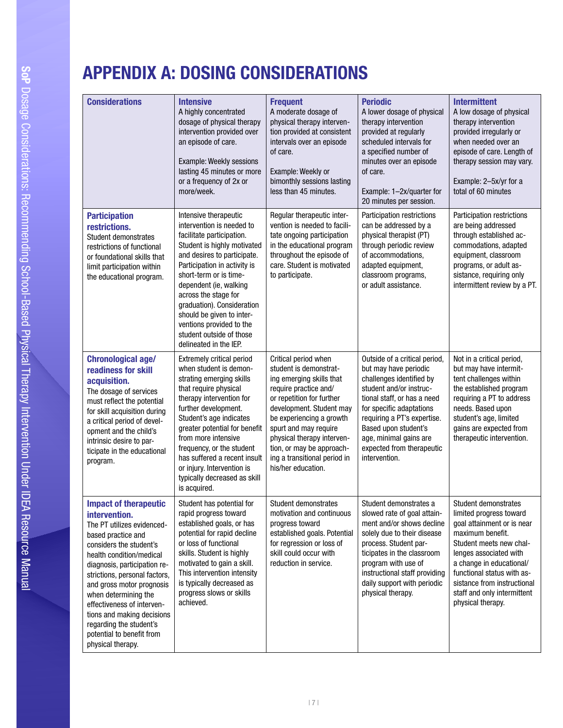## RECOMMENDING SCHOOL APPENDIX A: DOSING CONSIDERATIONS

| <b>Considerations</b>                                                                                                                                                                                                                                                                                                                                                                                                   | <b>Intensive</b><br>A highly concentrated<br>dosage of physical therapy<br>intervention provided over<br>an episode of care.<br>Example: Weekly sessions<br>lasting 45 minutes or more<br>or a frequency of 2x or<br>more/week.                                                                                                                                                                        | <b>Frequent</b><br>A moderate dosage of<br>physical therapy interven-<br>tion provided at consistent<br>intervals over an episode<br>of care.<br>Example: Weekly or<br>bimonthly sessions lasting<br>less than 45 minutes.                                                                                                         | <b>Periodic</b><br>A lower dosage of physical<br>therapy intervention<br>provided at regularly<br>scheduled intervals for<br>a specified number of<br>minutes over an episode<br>of care.<br>Example: 1-2x/quarter for<br>20 minutes per session.                                                       | <b>Intermittent</b><br>A low dosage of physical<br>therapy intervention<br>provided irregularly or<br>when needed over an<br>episode of care. Length of<br>therapy session may vary.<br>Example: 2-5x/yr for a<br>total of 60 minutes                                                               |
|-------------------------------------------------------------------------------------------------------------------------------------------------------------------------------------------------------------------------------------------------------------------------------------------------------------------------------------------------------------------------------------------------------------------------|--------------------------------------------------------------------------------------------------------------------------------------------------------------------------------------------------------------------------------------------------------------------------------------------------------------------------------------------------------------------------------------------------------|------------------------------------------------------------------------------------------------------------------------------------------------------------------------------------------------------------------------------------------------------------------------------------------------------------------------------------|---------------------------------------------------------------------------------------------------------------------------------------------------------------------------------------------------------------------------------------------------------------------------------------------------------|-----------------------------------------------------------------------------------------------------------------------------------------------------------------------------------------------------------------------------------------------------------------------------------------------------|
| <b>Participation</b><br>restrictions.<br>Student demonstrates<br>restrictions of functional<br>or foundational skills that<br>limit participation within<br>the educational program.                                                                                                                                                                                                                                    | Intensive therapeutic<br>intervention is needed to<br>facilitate participation.<br>Student is highly motivated<br>and desires to participate.<br>Participation in activity is<br>short-term or is time-<br>dependent (ie, walking<br>across the stage for<br>graduation). Consideration<br>should be given to inter-<br>ventions provided to the<br>student outside of those<br>delineated in the IEP. | Regular therapeutic inter-<br>vention is needed to facili-<br>tate ongoing participation<br>in the educational program<br>throughout the episode of<br>care. Student is motivated<br>to participate.                                                                                                                               | <b>Participation restrictions</b><br>can be addressed by a<br>physical therapist (PT)<br>through periodic review<br>of accommodations,<br>adapted equipment,<br>classroom programs,<br>or adult assistance.                                                                                             | Participation restrictions<br>are being addressed<br>through established ac-<br>commodations, adapted<br>equipment, classroom<br>programs, or adult as-<br>sistance, requiring only<br>intermittent review by a PT.                                                                                 |
| <b>Chronological age/</b><br>readiness for skill<br>acquisition.<br>The dosage of services<br>must reflect the potential<br>for skill acquisition during<br>a critical period of devel-<br>opment and the child's<br>intrinsic desire to par-<br>ticipate in the educational<br>program.                                                                                                                                | <b>Extremely critical period</b><br>when student is demon-<br>strating emerging skills<br>that require physical<br>therapy intervention for<br>further development.<br>Student's age indicates<br>greater potential for benefit<br>from more intensive<br>frequency, or the student<br>has suffered a recent insult<br>or injury. Intervention is<br>typically decreased as skill<br>is acquired.      | Critical period when<br>student is demonstrat-<br>ing emerging skills that<br>require practice and/<br>or repetition for further<br>development. Student may<br>be experiencing a growth<br>spurt and may require<br>physical therapy interven-<br>tion, or may be approach-<br>ing a transitional period in<br>his/her education. | Outside of a critical period,<br>but may have periodic<br>challenges identified by<br>student and/or instruc-<br>tional staff, or has a need<br>for specific adaptations<br>requiring a PT's expertise.<br>Based upon student's<br>age, minimal gains are<br>expected from therapeutic<br>intervention. | Not in a critical period,<br>but may have intermit-<br>tent challenges within<br>the established program<br>requiring a PT to address<br>needs. Based upon<br>student's age, limited<br>gains are expected from<br>therapeutic intervention.                                                        |
| <b>Impact of therapeutic</b><br>intervention.<br>The PT utilizes evidenced-<br>based practice and<br>considers the student's<br>health condition/medical<br>diagnosis, participation re-<br>strictions, personal factors,<br>and gross motor prognosis<br>when determining the<br>effectiveness of interven-<br>tions and making decisions<br>regarding the student's<br>potential to benefit from<br>physical therapy. | Student has potential for<br>rapid progress toward<br>established goals, or has<br>potential for rapid decline<br>or loss of functional<br>skills. Student is highly<br>motivated to gain a skill.<br>This intervention intensity<br>is typically decreased as<br>progress slows or skills<br>achieved.                                                                                                | Student demonstrates<br>motivation and continuous<br>progress toward<br>established goals. Potential<br>for regression or loss of<br>skill could occur with<br>reduction in service.                                                                                                                                               | Student demonstrates a<br>slowed rate of goal attain-<br>ment and/or shows decline<br>solely due to their disease<br>process. Student par-<br>ticipates in the classroom<br>program with use of<br>instructional staff providing<br>daily support with periodic<br>physical therapy.                    | Student demonstrates<br>limited progress toward<br>goal attainment or is near<br>maximum benefit.<br>Student meets new chal-<br>lenges associated with<br>a change in educational/<br>functional status with as-<br>sistance from instructional<br>staff and only intermittent<br>physical therapy. |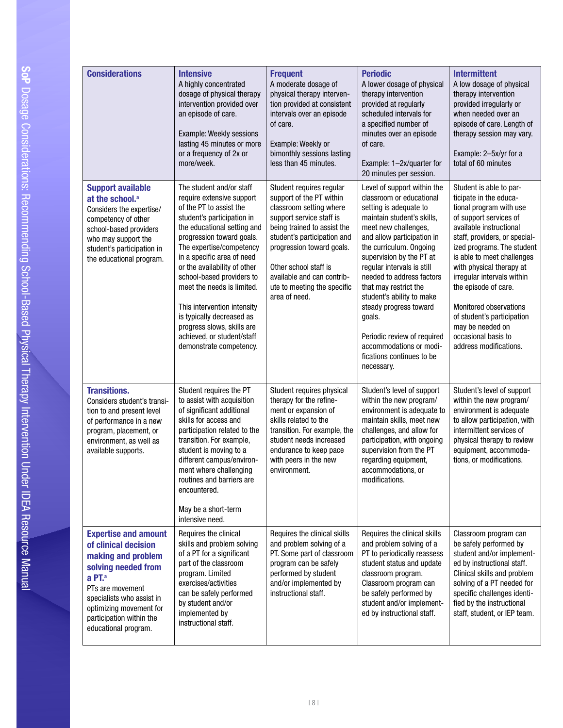| <b>Considerations</b>                                                                                                                                                                                                                                  | <b>Intensive</b><br>A highly concentrated<br>dosage of physical therapy<br>intervention provided over<br>an episode of care.<br>Example: Weekly sessions<br>lasting 45 minutes or more<br>or a frequency of 2x or<br>more/week.                                                                                                                                                                                                                                                    | <b>Frequent</b><br>A moderate dosage of<br>physical therapy interven-<br>tion provided at consistent<br>intervals over an episode<br>of care.<br>Example: Weekly or<br>bimonthly sessions lasting<br>less than 45 minutes.                                                                                    | <b>Periodic</b><br>A lower dosage of physical<br>therapy intervention<br>provided at regularly<br>scheduled intervals for<br>a specified number of<br>minutes over an episode<br>of care.<br>Example: 1-2x/quarter for<br>20 minutes per session.                                                                                                                                                                                                                                      | <b>Intermittent</b><br>A low dosage of physical<br>therapy intervention<br>provided irregularly or<br>when needed over an<br>episode of care. Length of<br>therapy session may vary.<br>Example: 2-5x/yr for a<br>total of 60 minutes                                                                                                                                                                                                         |
|--------------------------------------------------------------------------------------------------------------------------------------------------------------------------------------------------------------------------------------------------------|------------------------------------------------------------------------------------------------------------------------------------------------------------------------------------------------------------------------------------------------------------------------------------------------------------------------------------------------------------------------------------------------------------------------------------------------------------------------------------|---------------------------------------------------------------------------------------------------------------------------------------------------------------------------------------------------------------------------------------------------------------------------------------------------------------|----------------------------------------------------------------------------------------------------------------------------------------------------------------------------------------------------------------------------------------------------------------------------------------------------------------------------------------------------------------------------------------------------------------------------------------------------------------------------------------|-----------------------------------------------------------------------------------------------------------------------------------------------------------------------------------------------------------------------------------------------------------------------------------------------------------------------------------------------------------------------------------------------------------------------------------------------|
| <b>Support available</b><br>at the school. <sup>a</sup><br>Considers the expertise/<br>competency of other<br>school-based providers<br>who may support the<br>student's participation in<br>the educational program.                                  | The student and/or staff<br>require extensive support<br>of the PT to assist the<br>student's participation in<br>the educational setting and<br>progression toward goals.<br>The expertise/competency<br>in a specific area of need<br>or the availability of other<br>school-based providers to<br>meet the needs is limited.<br>This intervention intensity<br>is typically decreased as<br>progress slows, skills are<br>achieved, or student/staff<br>demonstrate competency. | Student requires regular<br>support of the PT within<br>classroom setting where<br>support service staff is<br>being trained to assist the<br>student's participation and<br>progression toward goals.<br>Other school staff is<br>available and can contrib-<br>ute to meeting the specific<br>area of need. | Level of support within the<br>classroom or educational<br>setting is adequate to<br>maintain student's skills,<br>meet new challenges,<br>and allow participation in<br>the curriculum. Ongoing<br>supervision by the PT at<br>regular intervals is still<br>needed to address factors<br>that may restrict the<br>student's ability to make<br>steady progress toward<br>goals.<br>Periodic review of required<br>accommodations or modi-<br>fications continues to be<br>necessary. | Student is able to par-<br>ticipate in the educa-<br>tional program with use<br>of support services of<br>available instructional<br>staff, providers, or special-<br>ized programs. The student<br>is able to meet challenges<br>with physical therapy at<br>irregular intervals within<br>the episode of care.<br>Monitored observations<br>of student's participation<br>may be needed on<br>occasional basis to<br>address modifications. |
| <b>Transitions.</b><br>Considers student's transi-<br>tion to and present level<br>of performance in a new<br>program, placement, or<br>environment, as well as<br>available supports.                                                                 | Student requires the PT<br>to assist with acquisition<br>of significant additional<br>skills for access and<br>participation related to the<br>transition. For example,<br>student is moving to a<br>different campus/environ-<br>ment where challenging<br>routines and barriers are<br>encountered.<br>May be a short-term<br>intensive need.                                                                                                                                    | Student requires physical<br>therapy for the refine-<br>ment or expansion of<br>skills related to the<br>transition. For example, the<br>student needs increased<br>endurance to keep pace<br>with peers in the new<br>environment.                                                                           | Student's level of support<br>within the new program/<br>environment is adequate to<br>maintain skills, meet new<br>challenges, and allow for<br>participation, with ongoing<br>supervision from the PT<br>regarding equipment,<br>accommodations, or<br>modifications.                                                                                                                                                                                                                | Student's level of support<br>within the new program/<br>environment is adequate<br>to allow participation, with<br>intermittent services of<br>physical therapy to review<br>equipment, accommoda-<br>tions, or modifications.                                                                                                                                                                                                               |
| <b>Expertise and amount</b><br>of clinical decision<br>making and problem<br>solving needed from<br>a PT. <sup>a</sup><br>PTs are movement<br>specialists who assist in<br>optimizing movement for<br>participation within the<br>educational program. | Requires the clinical<br>skills and problem solving<br>of a PT for a significant<br>part of the classroom<br>program. Limited<br>exercises/activities<br>can be safely performed<br>by student and/or<br>implemented by<br>instructional staff.                                                                                                                                                                                                                                    | Requires the clinical skills<br>and problem solving of a<br>PT. Some part of classroom<br>program can be safely<br>performed by student<br>and/or implemented by<br>instructional staff.                                                                                                                      | Requires the clinical skills<br>and problem solving of a<br>PT to periodically reassess<br>student status and update<br>classroom program.<br>Classroom program can<br>be safely performed by<br>student and/or implement-<br>ed by instructional staff.                                                                                                                                                                                                                               | Classroom program can<br>be safely performed by<br>student and/or implement-<br>ed by instructional staff.<br>Clinical skills and problem<br>solving of a PT needed for<br>specific challenges identi-<br>fied by the instructional<br>staff, student, or IEP team.                                                                                                                                                                           |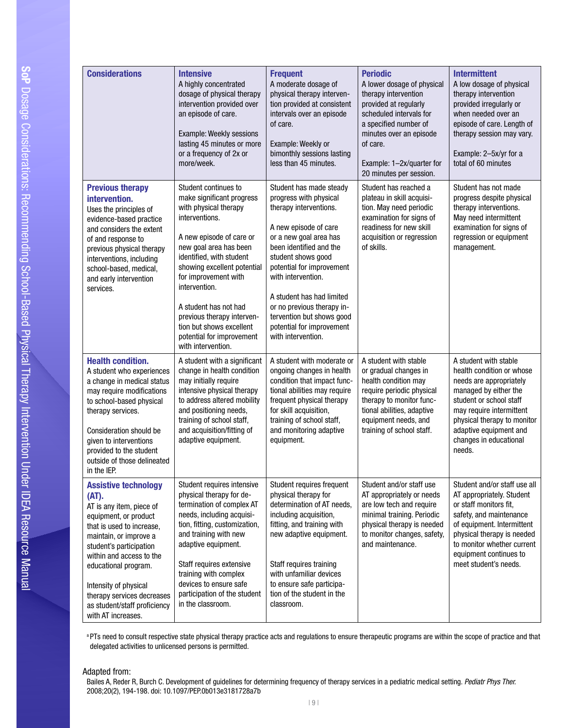| <b>Considerati</b><br><b>Previous th</b>                                                                                                                          |
|-------------------------------------------------------------------------------------------------------------------------------------------------------------------|
| intervention<br>Uses the prin<br>evidence-bas<br>and considers<br>of and respon<br>previous phys<br>interventions,<br>school-based<br>and early inte<br>services. |
| <b>Health cond</b><br>A student who<br>a change in n<br>may require n<br>to school-bas<br>therapy servid                                                          |
| Consideration<br>given to inter<br>provided to th<br>outside of tho<br>in the IEP.                                                                                |
| <b>Assistive te</b><br>(AT).<br>AT is any item<br>equipment, or<br>that is used to<br>maintain, or in                                                             |
| student's part<br>within and ac<br>educational p<br>Intensity of pl                                                                                               |

| <b>Considerations</b>                                                                                                                                                                                                                                                                                                                        | <b>Intensive</b><br>A highly concentrated<br>dosage of physical therapy<br>intervention provided over<br>an episode of care.<br>Example: Weekly sessions<br>lasting 45 minutes or more<br>or a frequency of 2x or<br>more/week.                                                                                                                                                              | <b>Frequent</b><br>A moderate dosage of<br>physical therapy interven-<br>tion provided at consistent<br>intervals over an episode<br>of care.<br>Example: Weekly or<br>bimonthly sessions lasting<br>less than 45 minutes.                                                                                                                                                    | <b>Periodic</b><br>A lower dosage of physical<br>therapy intervention<br>provided at regularly<br>scheduled intervals for<br>a specified number of<br>minutes over an episode<br>of care.<br>Example: 1-2x/quarter for<br>20 minutes per session. | <b>Intermittent</b><br>A low dosage of physical<br>therapy intervention<br>provided irregularly or<br>when needed over an<br>episode of care. Length of<br>therapy session may vary.<br>Example: 2-5x/yr for a<br>total of 60 minutes                       |
|----------------------------------------------------------------------------------------------------------------------------------------------------------------------------------------------------------------------------------------------------------------------------------------------------------------------------------------------|----------------------------------------------------------------------------------------------------------------------------------------------------------------------------------------------------------------------------------------------------------------------------------------------------------------------------------------------------------------------------------------------|-------------------------------------------------------------------------------------------------------------------------------------------------------------------------------------------------------------------------------------------------------------------------------------------------------------------------------------------------------------------------------|---------------------------------------------------------------------------------------------------------------------------------------------------------------------------------------------------------------------------------------------------|-------------------------------------------------------------------------------------------------------------------------------------------------------------------------------------------------------------------------------------------------------------|
| <b>Previous therapy</b><br>intervention.<br>Uses the principles of<br>evidence-based practice<br>and considers the extent<br>of and response to<br>previous physical therapy<br>interventions, including<br>school-based, medical,<br>and early intervention<br>services.                                                                    | Student continues to<br>make significant progress<br>with physical therapy<br>interventions.<br>A new episode of care or<br>new goal area has been<br>identified, with student<br>showing excellent potential<br>for improvement with<br>intervention.<br>A student has not had<br>previous therapy interven-<br>tion but shows excellent<br>potential for improvement<br>with intervention. | Student has made steady<br>progress with physical<br>therapy interventions.<br>A new episode of care<br>or a new goal area has<br>been identified and the<br>student shows good<br>potential for improvement<br>with intervention.<br>A student has had limited<br>or no previous therapy in-<br>tervention but shows good<br>potential for improvement<br>with intervention. | Student has reached a<br>plateau in skill acquisi-<br>tion. May need periodic<br>examination for signs of<br>readiness for new skill<br>acquisition or regression<br>of skills.                                                                   | Student has not made<br>progress despite physical<br>therapy interventions.<br>May need intermittent<br>examination for signs of<br>regression or equipment<br>management.                                                                                  |
| <b>Health condition.</b><br>A student who experiences<br>a change in medical status<br>may require modifications<br>to school-based physical<br>therapy services.<br>Consideration should be<br>given to interventions<br>provided to the student<br>outside of those delineated<br>in the IEP.                                              | A student with a significant<br>change in health condition<br>may initially require<br>intensive physical therapy<br>to address altered mobility<br>and positioning needs,<br>training of school staff,<br>and acquisition/fitting of<br>adaptive equipment.                                                                                                                                 | A student with moderate or<br>ongoing changes in health<br>condition that impact func-<br>tional abilities may require<br>frequent physical therapy<br>for skill acquisition,<br>training of school staff,<br>and monitoring adaptive<br>equipment.                                                                                                                           | A student with stable<br>or gradual changes in<br>health condition may<br>require periodic physical<br>therapy to monitor func-<br>tional abilities, adaptive<br>equipment needs, and<br>training of school staff.                                | A student with stable<br>health condition or whose<br>needs are appropriately<br>managed by either the<br>student or school staff<br>may require intermittent<br>physical therapy to monitor<br>adaptive equipment and<br>changes in educational<br>needs.  |
| <b>Assistive technology</b><br>(AT).<br>AT is any item, piece of<br>equipment, or product<br>that is used to increase,<br>maintain, or improve a<br>student's participation<br>within and access to the<br>educational program.<br>Intensity of physical<br>therapy services decreases<br>as student/staff proficiency<br>with AT increases. | Student requires intensive<br>physical therapy for de-<br>termination of complex AT<br>needs, including acquisi-<br>tion, fitting, customization,<br>and training with new<br>adaptive equipment.<br>Staff requires extensive<br>training with complex<br>devices to ensure safe<br>participation of the student<br>in the classroom.                                                        | Student requires frequent<br>physical therapy for<br>determination of AT needs,<br>including acquisition,<br>fitting, and training with<br>new adaptive equipment.<br>Staff requires training<br>with unfamiliar devices<br>to ensure safe participa-<br>tion of the student in the<br>classroom.                                                                             | Student and/or staff use<br>AT appropriately or needs<br>are low tech and require<br>minimal training. Periodic<br>physical therapy is needed<br>to monitor changes, safety,<br>and maintenance.                                                  | Student and/or staff use all<br>AT appropriately. Student<br>or staff monitors fit,<br>safety, and maintenance<br>of equipment. Intermittent<br>physical therapy is needed<br>to monitor whether current<br>equipment continues to<br>meet student's needs. |

**a PTs need to consult respective state physical therapy practice acts and regulations to ensure therapeutic programs are within the scope of practice and that** delegated activities to unlicensed persons is permitted.

| 9 |

## Adapted from:

Bailes A, Reder R, Burch C. Development of guidelines for determining frequency of therapy services in a pediatric medical setting. *Pediatr Phys Ther.*  2008;20(2), 194-198. doi: 10.1097/PEP.0b013e3181728a7b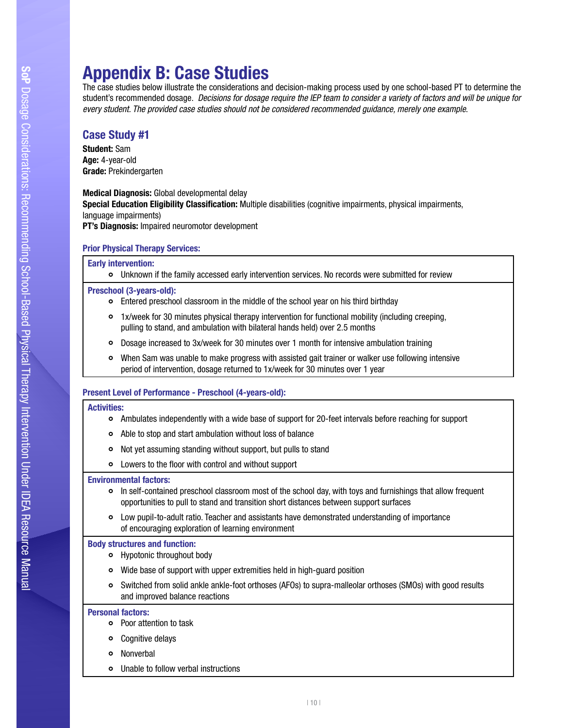## Appendix B: Case Studies

 student's recommended dosage. *Decisions for dosage require the IEP team to consider a variety of factors and will be unique for*  The case studies below illustrate the considerations and decision-making process used by one school-based PT to determine the *every student. The provided case studies should not be considered recommended guidance, merely one example*.

## Case Study #1

Student: Sam Age: 4-year-old Grade: Prekindergarten

Medical Diagnosis: Global developmental delay

**Special Education Eligibility Classification:** Multiple disabilities (cognitive impairments, physical impairments,<br>language impairments)

PT's Diagnosis: Impaired neuromotor development

## Prior Physical Therapy Services:

## Early intervention:

Unknown if the family accessed early intervention services. No records were submitted for review

## Preschool (3-years-old):

- Entered preschool classroom in the middle of the school year on his third birthday
- 1x/week for 30 minutes physical therapy intervention for functional mobility (including creeping,<br>pulling to stand, and ambulation with bilateral hands held) over 2.5 months
- Dosage increased to 3x/week for 30 minutes over 1 month for intensive ambulation training
- When Sam was unable to make progress with assisted gait trainer or walker use following intensive  $\bullet$ period of intervention, dosage returned to 1x/week for 30 minutes over 1 year

## Present Level of Performance - Preschool (4-years-old):

## Activities:

- Ambulates independently with a wide base of support for 20-feet intervals before reaching for support
- Able to stop and start ambulation without loss of balance
- Not yet assuming standing without support, but pulls to stand
- Lowers to the foor with control and without support

## Environmental factors:

- In self-contained preschool classroom most of the school day, with toys and furnishings that allow frequent opportunities to pull to stand and transition short distances between support surfaces
- Low pupil-to-adult ratio. Teacher and assistants have demonstrated understanding of importance of encouraging exploration of learning environment

## Body structures and function:

- Hypotonic throughout body
- Wide base of support with upper extremities held in high-guard position
- Switched from solid ankle ankle-foot orthoses (AFOs) to supra-malleolar orthoses (SMOs) with good results and improved balance reactions

## Personal factors:

- Poor attention to task
- Cognitive delays
- $\circ$ Nonverbal
- Unable to follow verbal instructions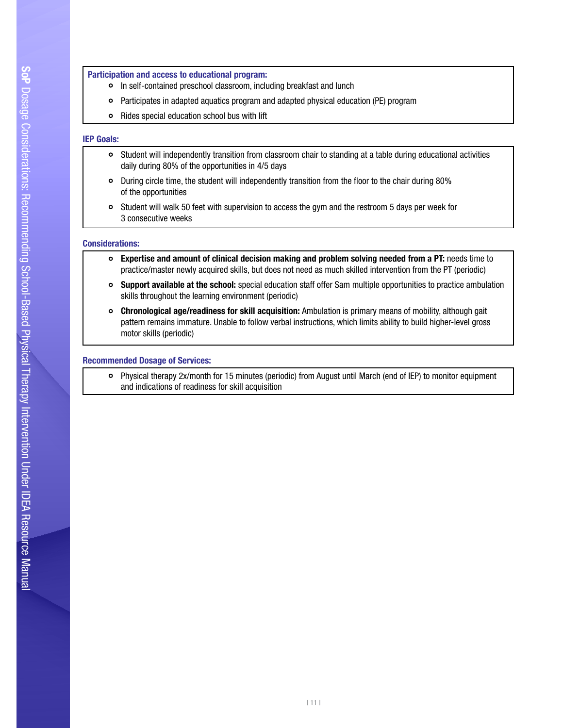## Recommending School-Participation and access to educational program:

- $\bullet$ In self-contained preschool classroom, including breakfast and lunch
- In sen-contained presenton classroom, including breaktast and lanch<br>Participates in adapted aquatics program and adapted physical education (PE) program  $\circ$
- Rides special education school bus with lift

## IEP Goals:

- Student will independently transition from classroom chair to standing at a table during educational activities daily during 80% of the opportunities in 4/5 days
- During circle time, the student will independently transition from the foor to the chair during 80% of the opportunities
- Student will walk 50 feet with supervision to access the gym and the restroom 5 days per week for 3 consecutive weeks

## Considerations:

- Expertise and amount of clinical decision making and problem solving needed from a PT: needs time to  $\circ$ practice/master newly acquired skills, but does not need as much skilled intervention from the PT (periodic)
- Support available at the school: special education staff offer Sam multiple opportunities to practice ambulation skills throughout the learning environment (periodic)
- Chronological age/readiness for skill acquisition: Ambulation is primary means of mobility, although gait pattern remains immature. Unable to follow verbal instructions, which limits ability to build higher-level gross motor skills (periodic)

## Recommended Dosage of Services:

Physical therapy 2x/month for 15 minutes (periodic) from August until March (end of IEP) to monitor equipment and indications of readiness for skill acquisition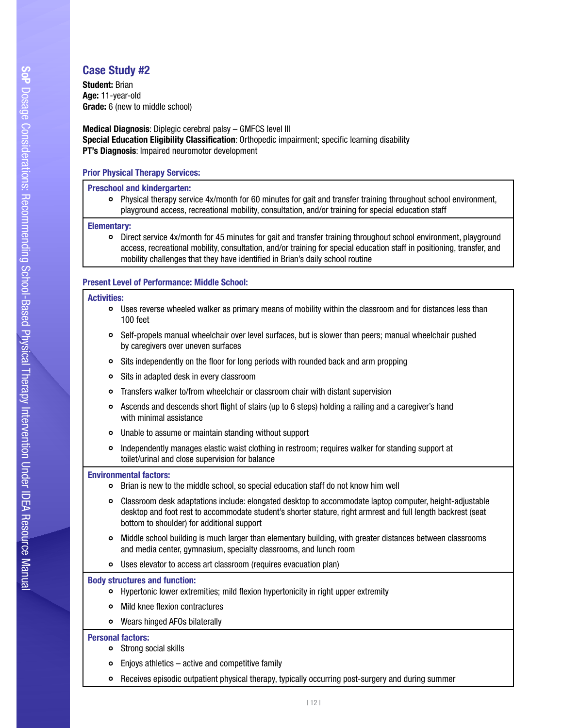## Case Study #2

 $\sum_{\text{min}}$ **Age:** 11-year-old Student: Brian Grade: 6 (new to middle school)

Medical Diagnosis: Diplegic cerebral palsy – GMFCS level III Special Education Eligibility Classification: Orthopedic impairment; specific learning disability PT's Diagnosis: Impaired neuromotor development

## Prior Physical Therapy Services:

## Preschool and kindergarten:

Physical therapy service 4x/month for 60 minutes for gait and transfer training throughout school environment, playground access, recreational mobility, consultation, and/or training for special education staff

## Elementary:

Direct service 4x/month for 45 minutes for gait and transfer training throughout school environment, playground access, recreational mobility, consultation, and/or training for special education staff in positioning, transfer, and mobility challenges that they have identifed in Brian's daily school routine

## Present Level of Performance: Middle School:

## Activities:

- Uses reverse wheeled walker as primary means of mobility within the classroom and for distances less than 100 feet
- Self-propels manual wheelchair over level surfaces, but is slower than peers; manual wheelchair pushed by caregivers over uneven surfaces
- Sits independently on the foor for long periods with rounded back and arm propping
- Sits in adapted desk in every classroom  $\circ$
- Transfers walker to/from wheelchair or classroom chair with distant supervision
- Ascends and descends short fight of stairs (up to 6 steps) holding a railing and a caregiver's hand  $\circ$ with minimal assistance
- Unable to assume or maintain standing without support
- $\circ$ Independently manages elastic waist clothing in restroom; requires walker for standing support at toilet/urinal and close supervision for balance

## Environmental factors:

- Brian is new to the middle school, so special education staff do not know him well
- Classroom desk adaptations include: elongated desktop to accommodate laptop computer, height-adjustable  $\bullet$ desktop and foot rest to accommodate student's shorter stature, right armrest and full length backrest (seat bottom to shoulder) for additional support
- Middle school building is much larger than elementary building, with greater distances between classrooms and media center, gymnasium, specialty classrooms, and lunch room
- Uses elevator to access art classroom (requires evacuation plan)

## Body structures and function:

- Hypertonic lower extremities; mild fexion hypertonicity in right upper extremity
- o Mild knee flexion contractures
- Wears hinged AFOs bilaterally

## Personal factors:

- Strong social skills
- Enjoys athletics active and competitive family
- Receives episodic outpatient physical therapy, typically occurring post-surgery and during summer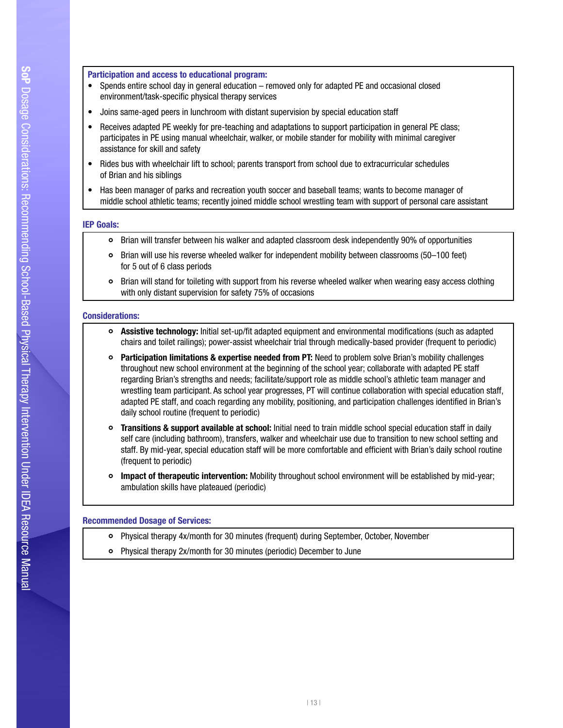## Recommending School-Participation and access to educational program:

- Intervention Under IDEA environment/task-specifc physical therapy services • Spends entire school day in general education – removed only for adapted PE and occasional closed
- Joins same-aged peers in lunchroom with distant supervision by special education staff
- Receives adapted PE weekly for pre-teaching and adaptations to support participation in general PE class; participates in PE using manual wheelchair, walker, or mobile stander for mobility with minimal caregiver assistance for skill and safety
- Rides bus with wheelchair lift to school; parents transport from school due to extracurricular schedules of Brian and his siblings
- Has been manager of parks and recreation youth soccer and baseball teams; wants to become manager of middle school athletic teams; recently joined middle school wrestling team with support of personal care assistant

#### IEP Goals:

- Brian will transfer between his walker and adapted classroom desk independently 90% of opportunities
- Brian will use his reverse wheeled walker for independent mobility between classrooms (50–100 feet) for 5 out of 6 class periods
- $\bullet$ Brian will stand for toileting with support from his reverse wheeled walker when wearing easy access clothing with only distant supervision for safety 75% of occasions

#### Considerations:

- Assistive technology: Initial set-up/ft adapted equipment and environmental modifcations (such as adapted chairs and toilet railings); power-assist wheelchair trial through medically-based provider (frequent to periodic)
- o Participation limitations & expertise needed from PT: Need to problem solve Brian's mobility challenges throughout new school environment at the beginning of the school year; collaborate with adapted PE staff regarding Brian's strengths and needs; facilitate/support role as middle school's athletic team manager and wrestling team participant. As school year progresses, PT will continue collaboration with special education staff, adapted PE staff, and coach regarding any mobility, positioning, and participation challenges identifed in Brian's daily school routine (frequent to periodic)
- o Transitions & support available at school: Initial need to train middle school special education staff in daily self care (including bathroom), transfers, walker and wheelchair use due to transition to new school setting and staff. By mid-year, special education staff will be more comfortable and efficient with Brian's daily school routine (frequent to periodic)
- **Impact of therapeutic intervention:** Mobility throughout school environment will be established by mid-year; ambulation skills have plateaued (periodic)

#### Recommended Dosage of Services:

- Physical therapy 4x/month for 30 minutes (frequent) during September, October, November
- Physical therapy 2x/month for 30 minutes (periodic) December to June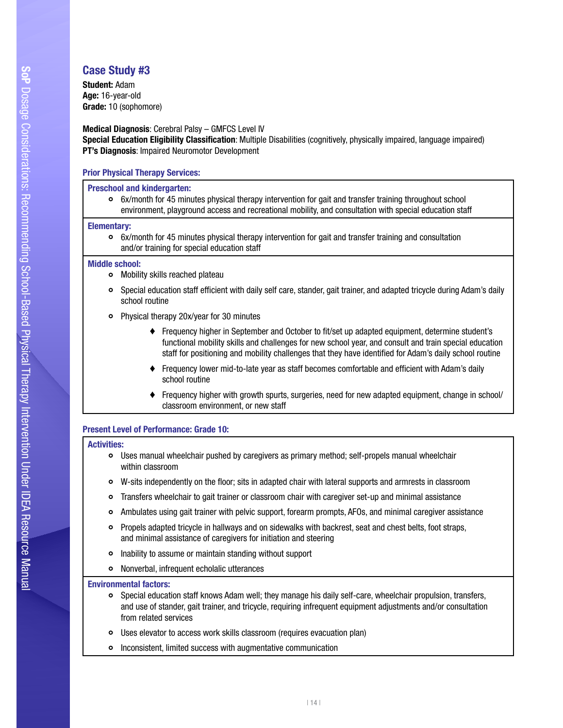## Case Study #3

 $\frac{1}{2}$ **Age:** 16-year-old Student: Adam Grade: 10 (sophomore)

## Medical Diagnosis: Cerebral Palsy – GMFCS Level IV Special Education Eligibility Classification: Multiple Disabilities (cognitively, physically impaired, language impaired) **PT's Diagnosis: Impaired Neuromotor Development**

## Prior Physical Therapy Services:

## Preschool and kindergarten:

6x/month for 45 minutes physical therapy intervention for gait and transfer training throughout school environment, playground access and recreational mobility, and consultation with special education staff

## Elementary:

6x/month for 45 minutes physical therapy intervention for gait and transfer training and consultation and/or training for special education staff

## Middle school:

- Mobility skills reached plateau
- Special education staff effcient with daily self care, stander, gait trainer, and adapted tricycle during Adam's daily school routine
- Physical therapy 20x/year for 30 minutes
	- ♦ Frequency higher in September and October to ft/set up adapted equipment, determine student's functional mobility skills and challenges for new school year, and consult and train special education staff for positioning and mobility challenges that they have identified for Adam's daily school routine
	- ♦ Frequency lower mid-to-late year as staff becomes comfortable and effcient with Adam's daily school routine
	- ♦ Frequency higher with growth spurts, surgeries, need for new adapted equipment, change in school/ classroom environment, or new staff

## Present Level of Performance: Grade 10:

## Activities:

- Uses manual wheelchair pushed by caregivers as primary method; self-propels manual wheelchair within classroom
- W-sits independently on the foor; sits in adapted chair with lateral supports and armrests in classroom
- Transfers wheelchair to gait trainer or classroom chair with caregiver set-up and minimal assistance  $\circ$
- $\bullet$ Ambulates using gait trainer with pelvic support, forearm prompts, AFOs, and minimal caregiver assistance
- Propels adapted tricycle in hallways and on sidewalks with backrest, seat and chest belts, foot straps, and minimal assistance of caregivers for initiation and steering
- $\bullet$ Inability to assume or maintain standing without support
- $\bullet$ Nonverbal, infrequent echolalic utterances

## Environmental factors:

- Special education staff knows Adam well; they manage his daily self-care, wheelchair propulsion, transfers, and use of stander, gait trainer, and tricycle, requiring infrequent equipment adjustments and/or consultation from related services
- Uses elevator to access work skills classroom (requires evacuation plan)
- Inconsistent, limited success with augmentative communication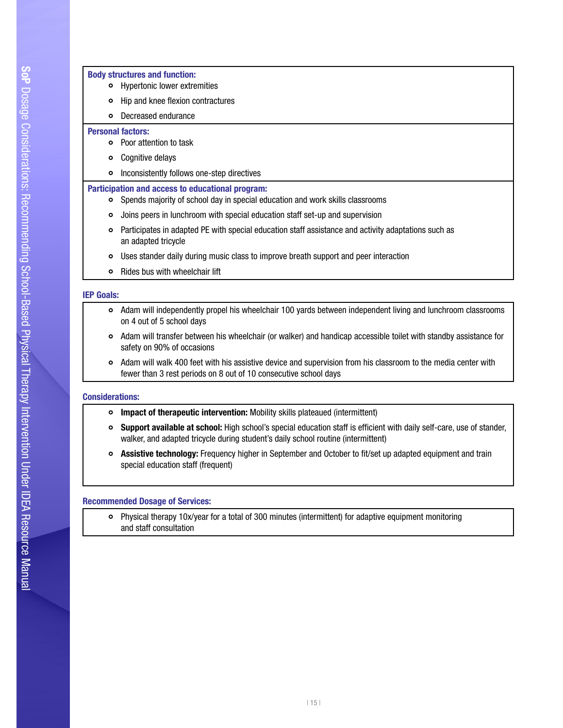## Recommending School-Body structures and function:<br>
Herapy structures and function: Hypertonic lower extremities nypertonic lower extremntes<br>Hip and knee flexion contractures  $\circ$  $\circ$ Decreased endurance Personal factors: Poor attention to task Cognitive delays Inconsistently follows one-step directives Participation and access to educational program: Spends majority of school day in special education and work skills classrooms Joins peers in lunchroom with special education staff set-up and supervision Participates in adapted PE with special education staff assistance and activity adaptations such as an adapted tricycle Uses stander daily during music class to improve breath support and peer interaction

 $\circ$ Rides bus with wheelchair lift

## IEP Goals:

- Adam will independently propel his wheelchair 100 yards between independent living and lunchroom classrooms on 4 out of 5 school days
- Adam will transfer between his wheelchair (or walker) and handicap accessible toilet with standby assistance for safety on 90% of occasions
- Adam will walk 400 feet with his assistive device and supervision from his classroom to the media center with fewer than 3 rest periods on 8 out of 10 consecutive school days

## Considerations:

- **o** Impact of therapeutic intervention: Mobility skills plateaued (intermittent)
- $\bullet$ Support available at school: High school's special education staff is efficient with daily self-care, use of stander, walker, and adapted tricycle during student's daily school routine (intermittent)
- Assistive technology: Frequency higher in September and October to fit/set up adapted equipment and train special education staff (frequent)

## Recommended Dosage of Services:

Physical therapy 10x/year for a total of 300 minutes (intermittent) for adaptive equipment monitoring and staff consultation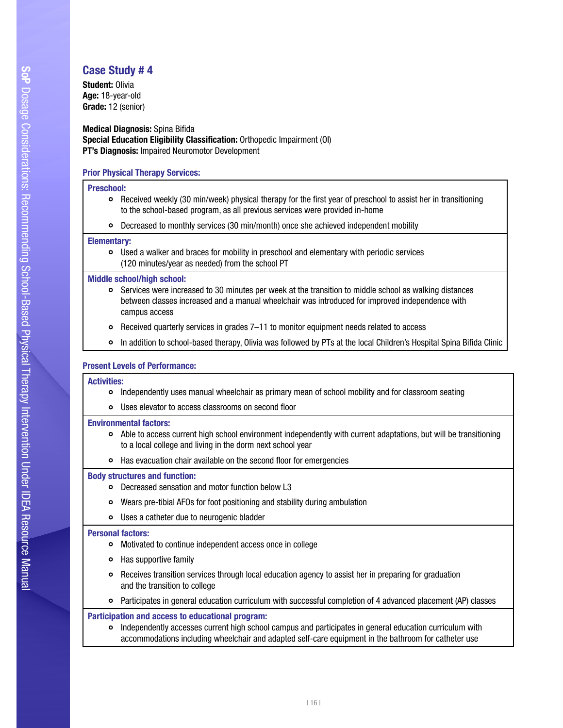## Case Study # 4  $\frac{1}{2}$

**Age:** 18-year-old Student: Olivia Grade: 12 (senior)

**Medical Diagnosis: Spina Bifida** Special Education Eligibility Classification: Orthopedic Impairment (OI) PT's Diagnosis: Impaired Neuromotor Development

## Prior Physical Therapy Services:

#### Preschool:

- Received weekly (30 min/week) physical therapy for the frst year of preschool to assist her in transitioning to the school-based program, as all previous services were provided in-home
- Decreased to monthly services (30 min/month) once she achieved independent mobility

#### Elementary:

Used a walker and braces for mobility in preschool and elementary with periodic services (120 minutes/year as needed) from the school PT

#### Middle school/high school:

- Services were increased to 30 minutes per week at the transition to middle school as walking distances between classes increased and a manual wheelchair was introduced for improved independence with campus access
- $\circ$ Received quarterly services in grades 7–11 to monitor equipment needs related to access
- In addition to school-based therapy, Olivia was followed by PTs at the local Children's Hospital Spina Bifda Clinic ò

## Present Levels of Performance:

#### Activities:

- Independently uses manual wheelchair as primary mean of school mobility and for classroom seating
- Uses elevator to access classrooms on second foor

## Environmental factors:

- Able to access current high school environment independently with current adaptations, but will be transitioning to a local college and living in the dorm next school year
- Has evacuation chair available on the second floor for emergencies

## Body structures and function:

- Decreased sensation and motor function below L3
- Wears pre-tibial AFOs for foot positioning and stability during ambulation  $\bullet$
- Uses a catheter due to neurogenic bladder

#### Personal factors:

- Motivated to continue independent access once in college
- $\circ$ Has supportive family
- Receives transition services through local education agency to assist her in preparing for graduation and the transition to college
- Participates in general education curriculum with successful completion of 4 advanced placement (AP) classes

## Participation and access to educational program:

Independently accesses current high school campus and participates in general education curriculum with accommodations including wheelchair and adapted self-care equipment in the bathroom for catheter use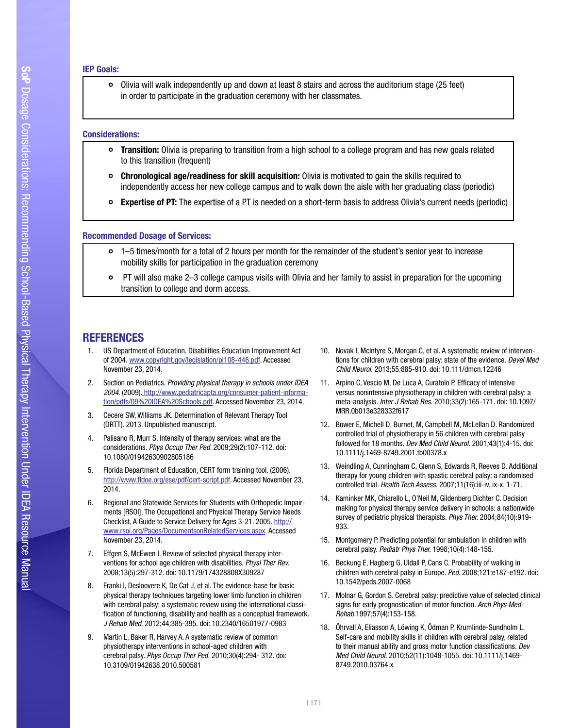#### IEP Goals:

Olivia will walk independently up and down at least 8 stairs and across the auditorium stage (25 feet) In order to participate in the graduation ceremony with her classmates.

#### Considerations:

- Transition: Olivia is preparing to transition from a high school to a college program and has new goals related to this transition (frequent)
- Chronological age/readiness for skill acquisition: Olivia is motivated to gain the skills required to independently access her new college campus and to walk down the aisle with her graduating class (periodic)
- Expertise of PT: The expertise of a PT is needed on a short-term basis to address Olivia's current needs (periodic)

#### Recommended Dosage of Services:

- 1–5 times/month for a total of 2 hours per month for the remainder of the student's senior year to increase mobility skills for participation in the graduation ceremony
- PT will also make 2–3 college campus visits with Olivia and her family to assist in preparation for the upcoming transition to college and dorm access.

## REFERENCES

- 1. US Department of Education. Disabilities Education Improvement Act of 2004. [www.copyright.gov/legislation/pl108-446.pdf](http://www.copyright.gov/legislation/pl108-446.pdf). Accessed November 23, 2014.
- 2. Section on Pediatrics. *Providing physical therapy in schools under IDEA 2004*. (2009)[. h](http://www.pediatricapta.org/consumer-patient-information/pdfs/11 Role of SchoolBasedPT.pdf)ttp://www.pediatricapta.org/consumer-patient-information/pdfs/09%20IDEA%20Schools.pdf. Accessed November 23, 2014.
- 3. Cecere SW, Williams JK. Determination of Relevant Therapy Tool (DRTT). 2013. Unpublished manuscript.
- 4. Palisano R, Murr S. Intensity of therapy services: what are the considerations. *Phys Occup Ther Ped.* 2009;29(2):107-112. doi: 10.1080/01942630902805186
- 5. Florida Department of Education, CERT form training tool. (2006). [http://www.fdoe.org/ese/pdf/cert-script.pdf](http://www.fldoe.org/ese/pdf/cert-script.pdf). Accessed November 23, 2014.
- 6. Regional and Statewide Services for Students with Orthopedic Impairments [RSOI], The Occupational and Physical Therapy Service Needs Checklist, A Guide to Service Delivery for Ages 3-21. 2005. [http://](http://www.rsoi.org/Pages/DocumentsonRelatedServices.aspx) [www.rsoi.org/Pages/DocumentsonRelatedServices.aspx.](http://www.rsoi.org/Pages/DocumentsonRelatedServices.aspx) Accessed November 23, 2014.
- 7. Effgen S, McEwen I. Review of selected physical therapy interventions for school age children with disabilities. *Physl Ther Rev.*  2008;13(5):297-312. doi: 10.1179/174328808X309287
- 8. Franki I, Desloovere K, De Cat J, et al. The evidence-base for basic physical therapy techniques targeting lower limb function in children with cerebral palsy: a systematic review using the international classification of functioning, disability and health as a conceptual framework. *J Rehab Med*. 2012;44*:*385-395. doi: 10.2340/16501977-0983
- 9. Martin L, Baker R, Harvey A. A systematic review of common physiotherapy interventions in school-aged children with cerebral palsy. *Phys Occup Ther Ped.* 2010;30(4):294- 312. doi: 10.3109/01942638.2010.500581
- 10. Novak I, McIntyre S, Morgan C, et al. A systematic review of interventions for children with cerebral palsy: state of the evidence. *Devel Med Child Neurol.* 2013;55*:*885-910. doi: 10.111/dmcn.12246
- 11. Arpino C, Vescio M, De Luca A, Curatolo P. Efficacy of intensive versus nonintensive physiotherapy in children with cerebral palsy: a meta-analysis. *Inter J Rehab Res.* 2010;33(2):165-171. doi: 10.1097/ MRR.0b013e328332f617
- 12. Bower E, Michell D, Burnet, M, Campbell M, McLellan D. Randomized controlled trial of physiotherapy in 56 children with cerebral palsy followed for 18 months. *Dev Med Child Neurol.* 2001*;*43(1):4-15. doi: 10.1111/j.1469-8749.2001.tb00378.x
- 13. Weindling A, Cunningham C, Glenn S, Edwards R, Reeves D. Additional therapy for young children with spastic cerebral palsy: a randomised controlled trial. *Health Tech Assess.* 2007;11(16):iii-iv, ix-x, 1-71.
- 14. Kaminker MK, Chiarello L, O'Neil M, Gildenberg Dichter C. Decision making for physical therapy service delivery in schools: a nationwide survey of pediatric physical therapists. *Phys Ther.* 2004;84(10):919- 933.
- 15. Montgomery P. Predicting potential for ambulation in children with cerebral palsy. *Pediatr Phys Ther.* 1998;10(4):148-155.
- 16. Beckung E, Hagberg G, Uldall P, Cans C. Probability of walking in children with cerebral palsy in Europe. *Ped*. 2008;121:e187-e192. doi: 10.1542/peds.2007-0068
- 17. Molnar G, Gordon S. Cerebral palsy: predictive value of selected clinical signs for early prognostication of motor function. *Arch Phys Med Rehab.*1997;57(4):153-158.
- 18. Öhrvall A, Eliasson A, Löwing K, Ödman P, Krumlinde-Sundholm L. Self-care and mobility skills in children with cerebral palsy, related to their manual ability and gross motor function classifcations. *Dev Med Child Neurol.* 2010;52(11):1048-1055. doi: 10.1111/j.1469- 8749.2010.03764.x